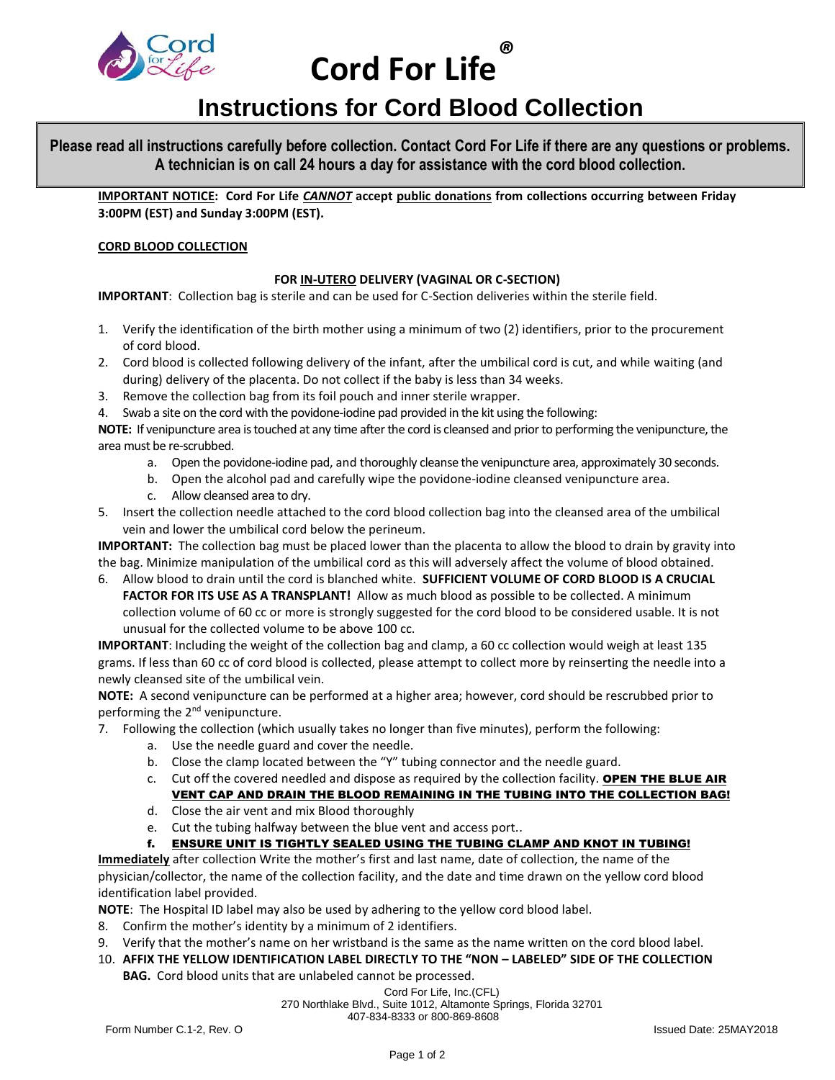

 **Cord For Life** *®*

# **Instructions for Cord Blood Collection**

**Please read all instructions carefully before collection. Contact Cord For Life if there are any questions or problems. A technician is on call 24 hours a day for assistance with the cord blood collection.**

**IMPORTANT NOTICE: Cord For Life** *CANNOT* **accept public donations from collections occurring between Friday 3:00PM (EST) and Sunday 3:00PM (EST).**

# **CORD BLOOD COLLECTION**

# **FOR IN-UTERO DELIVERY (VAGINAL OR C-SECTION)**

**IMPORTANT**: Collection bag is sterile and can be used for C-Section deliveries within the sterile field.

- 1. Verify the identification of the birth mother using a minimum of two (2) identifiers, prior to the procurement of cord blood.
- 2. Cord blood is collected following delivery of the infant, after the umbilical cord is cut, and while waiting (and during) delivery of the placenta. Do not collect if the baby is less than 34 weeks.
- 3. Remove the collection bag from its foil pouch and inner sterile wrapper.
- 4. Swab a site on the cord with the povidone-iodine pad provided in the kit using the following:

**NOTE:** If venipuncture area is touched at any time after the cord is cleansed and prior to performing the venipuncture, the area must be re-scrubbed.

- a. Open the povidone-iodine pad, and thoroughly cleanse the venipuncture area, approximately 30 seconds.
- b. Open the alcohol pad and carefully wipe the povidone-iodine cleansed venipuncture area.
- c. Allow cleansed area to dry.
- 5. Insert the collection needle attached to the cord blood collection bag into the cleansed area of the umbilical vein and lower the umbilical cord below the perineum.

**IMPORTANT:** The collection bag must be placed lower than the placenta to allow the blood to drain by gravity into the bag. Minimize manipulation of the umbilical cord as this will adversely affect the volume of blood obtained.

6. Allow blood to drain until the cord is blanched white. **SUFFICIENT VOLUME OF CORD BLOOD IS A CRUCIAL FACTOR FOR ITS USE AS A TRANSPLANT!** Allow as much blood as possible to be collected. A minimum collection volume of 60 cc or more is strongly suggested for the cord blood to be considered usable. It is not unusual for the collected volume to be above 100 cc.

**IMPORTANT**: Including the weight of the collection bag and clamp, a 60 cc collection would weigh at least 135 grams. If less than 60 cc of cord blood is collected, please attempt to collect more by reinserting the needle into a newly cleansed site of the umbilical vein.

**NOTE:** A second venipuncture can be performed at a higher area; however, cord should be rescrubbed prior to performing the 2<sup>nd</sup> venipuncture.

- 7. Following the collection (which usually takes no longer than five minutes), perform the following:
	- a. Use the needle guard and cover the needle.
	- b. Close the clamp located between the "Y" tubing connector and the needle guard.
	- c. Cut off the covered needled and dispose as required by the collection facility. **OPEN THE BLUE AIR** VENT CAP AND DRAIN THE BLOOD REMAINING IN THE TUBING INTO THE COLLECTION BAG!
	- d. Close the air vent and mix Blood thoroughly
	- e. Cut the tubing halfway between the blue vent and access port..
	- f. ENSURE UNIT IS TIGHTLY SEALED USING THE TUBING CLAMP AND KNOT IN TUBING!

**Immediately** after collection Write the mother's first and last name, date of collection, the name of the physician/collector, the name of the collection facility, and the date and time drawn on the yellow cord blood identification label provided.

**NOTE**: The Hospital ID label may also be used by adhering to the yellow cord blood label.

- 8. Confirm the mother's identity by a minimum of 2 identifiers.
- 9. Verify that the mother's name on her wristband is the same as the name written on the cord blood label.
- 10. **AFFIX THE YELLOW IDENTIFICATION LABEL DIRECTLY TO THE "NON – LABELED" SIDE OF THE COLLECTION**

**BAG.** Cord blood units that are unlabeled cannot be processed.

Cord For Life, Inc.(CFL) 270 Northlake Blvd., Suite 1012, Altamonte Springs, Florida 32701 407-834-8333 or 800-869-8608